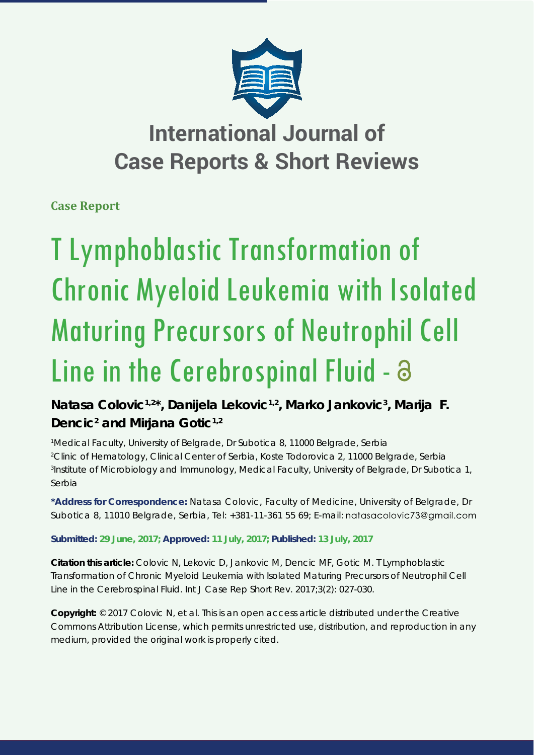

## **International Journal of Case Reports & Short Reviews**

**Case Report**

# T Lymphoblastic Transformation of Chronic Myeloid Leukemia with Isolated Maturing Precursors of Neutrophil Cell Line in the Cerebrospinal Fluid - a

Natasa Colovic<sup>1,2\*</sup>, Danijela Lekovic<sup>1,2</sup>, Marko Jankovic<sup>3</sup>, Marija F. Dencic<sup>2</sup> and Mirjana Gotic<sup>1,2</sup>

 *Medical Faculty, University of Belgrade, Dr Subotica 8, 11000 Belgrade, Serbia Clinic of Hematology, Clinical Center of Serbia, Koste Todorovica 2, 11000 Belgrade, Serbia Institute of Microbiology and Immunology, Medical Faculty, University of Belgrade, Dr Subotica 1, Serbia*

**\*Address for Correspondence:** Natasa Colovic, Faculty of Medicine, University of Belgrade, Dr Subotica 8, 11010 Belgrade, Serbia, Tel: +381-11-361 55 69; E-mail: natasacolovic73@gmail.com

**Submitted: 29 June, 2017; Approved: 11 July, 2017; Published: 13 July, 2017**

**Citation this article:** Colovic N, Lekovic D, Jankovic M, Dencic MF, Gotic M. T Lymphoblastic Transformation of Chronic Myeloid Leukemia with Isolated Maturing Precursors of Neutrophil Cell Line in the Cerebrospinal Fluid. Int J Case Rep Short Rev. 2017;3(2): 027-030.

**Copyright:** © 2017 Colovic N, et al. This is an open access article distributed under the Creative Commons Attribution License, which permits unrestricted use, distribution, and reproduction in any medium, provided the original work is properly cited.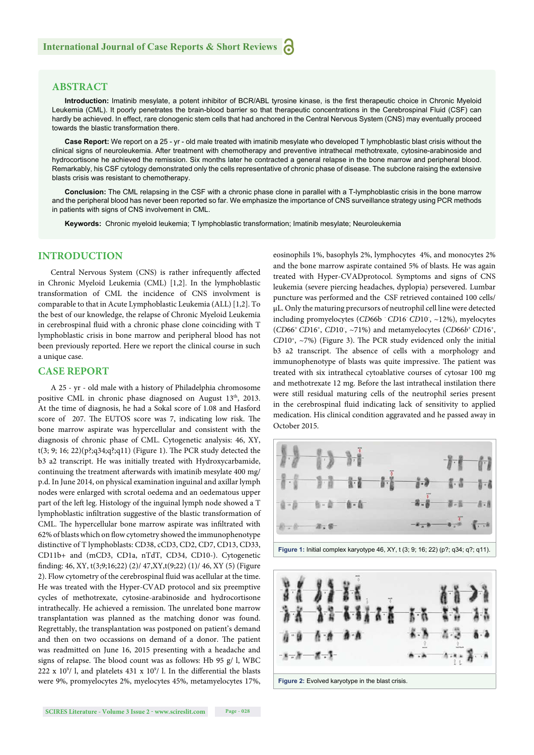#### **ABSTRACT**

**Introduction:** Imatinib mesylate, a potent inhibitor of BCR/ABL tyrosine kinase, is the first therapeutic choice in Chronic Myeloid Leukemia (CML). It poorly penetrates the brain-blood barrier so that therapeutic concentrations in the Cerebrospinal Fluid (CSF) can hardly be achieved. In effect, rare clonogenic stem cells that had anchored in the Central Nervous System (CNS) may eventually proceed towards the blastic transformation there.

**Case Report:** We report on a 25 - yr - old male treated with imatinib mesylate who developed T lymphoblastic blast crisis without the clinical signs of neuroleukemia. After treatment with chemotherapy and preventive intrathecal methotrexate, cytosine-arabinoside and hydrocortisone he achieved the remission. Six months later he contracted a general relapse in the bone marrow and peripheral blood. Remarkably, his CSF cytology demonstrated only the cells representative of chronic phase of disease. The subclone raising the extensive blasts crisis was resistant to chemotherapy.

**Conclusion:** The CML relapsing in the CSF with a chronic phase clone in parallel with a T-lymphoblastic crisis in the bone marrow and the peripheral blood has never been reported so far. We emphasize the importance of CNS surveillance strategy using PCR methods in patients with signs of CNS involvement in CML.

**Keywords:** Chronic myeloid leukemia; T lymphoblastic transformation; Imatinib mesylate; Neuroleukemia

#### **INTRODUCTION**

Central Nervous System (CNS) is rather infrequently affected in Chronic Myeloid Leukemia (CML) [1,2]. In the lymphoblastic transformation of CML the incidence of CNS involvment is comparable to that in Acute Lymphoblastic Leukemia (ALL) [1,2]. To the best of our knowledge, the relapse of Chronic Myeloid Leukemia in cerebrospinal fluid with a chronic phase clone coinciding with T lymphoblastic crisis in bone marrow and peripheral blood has not been previously reported. Here we report the clinical course in such a unique case.

#### **CASE REPORT**

A 25 - yr - old male with a history of Philadelphia chromosome positive CML in chronic phase diagnosed on August 13<sup>th</sup>, 2013. At the time of diagnosis, he had a Sokal score of 1.08 and Hasford score of 207. The EUTOS score was 7, indicating low risk. The bone marrow aspirate was hypercellular and consistent with the diagnosis of chronic phase of CML. Cytogenetic analysis: 46, XY,  $t(3; 9; 16; 22)(p;(34;q;(311))$  (Figure 1). The PCR study detected the b3 a2 transcript. He was initially treated with Hydroxycarbamide, continuing the treatment afterwards with imatinib mesylate 400 mg/ p.d. In June 2014, on physical examination inguinal and axillar lymph nodes were enlarged with scrotal oedema and an oedematous upper part of the left leg. Histology of the inguinal lymph node showed a T lymphoblastic infiltration suggestive of the blastic transformation of CML. The hypercellular bone marrow aspirate was infiltrated with 62% of blasts which on flow cytometry showed the immunophenotype distinctive of T lymphoblasts: CD38, cCD3, CD2, CD7, CD13, CD33, CD11b+ and (mCD3, CD1a, nTdT, CD34, CD10-). Cytogenetic fi nding: 46, XY, t(3;9;16;22) (2)/ 47,XY,t(9;22) (1)/ 46, XY (5) (Figure 2). Flow cytometry of the cerebrospinal fluid was acellular at the time. He was treated with the Hyper-CVAD protocol and six preemptive cycles of methotrexate, cytosine-arabinoside and hydrocortisone intrathecally. He achieved a remission. The unrelated bone marrow transplantation was planned as the matching donor was found. Regrettably, the transplantation was postponed on patient's demand and then on two occassions on demand of a donor. The patient was readmitted on June 16, 2015 presenting with a headache and signs of relapse. The blood count was as follows: Hb 95 g/ l, WBC 222 x 10<sup>9</sup>/ l, and platelets 431 x 10<sup>9</sup>/ l. In the differential the blasts were 9%, promyelocytes 2%, myelocytes 45%, metamyelocytes 17%,

eosinophils 1%, basophyls 2%, lymphocytes 4%, and monocytes 2% and the bone marrow aspirate contained 5% of blasts. He was again treated with Hyper-CVADprotocol. Symptoms and signs of CNS leukemia (severe piercing headaches, dyplopia) persevered. Lumbar puncture was performed and the CSF retrieved contained 100 cells/ μL. Only the maturing precursors of neutrophil cell line were detected including promyelocytes (*CD*66b - *CD*16- *CD*10- , ~12%), myelocytes (*CD*66+ *CD*16+, *CD*10- , ~71%) and metamyelocytes (*CD*66*b*<sup>+</sup>*CD*16+,  $CD10^+$ ,  $\sim$ 7%) (Figure 3). The PCR study evidenced only the initial b3 a2 transcript. The absence of cells with a morphology and immunophenotype of blasts was quite impressive. The patient was treated with six intrathecal cytoablative courses of cytosar 100 mg and methotrexate 12 mg. Before the last intrathecal instilation there were still residual maturing cells of the neutrophil series present in the cerebrospinal fluid indicating lack of sensitivity to applied medication. His clinical condition aggravated and he passed away in October 2015.



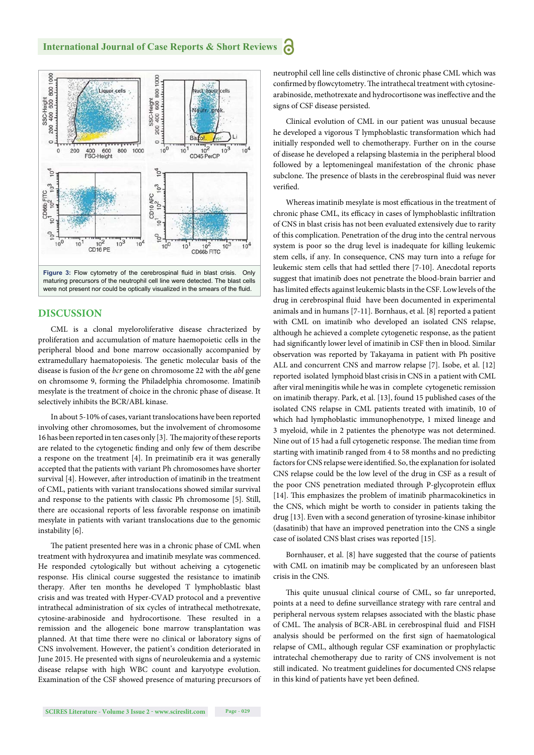

maturing precursors of the neutrophil cell line were detected. The blast cells were not present nor could be optically visualized in the smears of the fluid.

#### **DISCUSSION**

CML is a clonal myeloroliferative disease chracterized by proliferation and accumulation of mature haemopoietic cells in the peripheral blood and bone marrow occasionally accompanied by extramedullary haematopoiesis. The genetic molecular basis of the disease is fusion of the *bcr* gene on chromosome 22 with the *abl* gene on chromsome 9, forming the Philadelphia chromosome. Imatinib mesylate is the treatment of choice in the chronic phase of disease. It selectively inhibits the BCR/ABL kinase.

In about 5-10% of cases, variant translocations have been reported involving other chromosomes, but the involvement of chromosome 16 has been reported in ten cases only [3]. The majority of these reports are related to the cytogenetic finding and only few of them describe a respone on the treatment [4]. In preimatinib era it was generally accepted that the patients with variant Ph chromosomes have shorter survival [4]. However, after introduction of imatinib in the treatment of CML, patients with variant translocations showed similar survival and response to the patients with classic Ph chromosome [5]. Still, there are occasional reports of less favorable response on imatinib mesylate in patients with variant translocations due to the genomic instability [6].

The patient presented here was in a chronic phase of CML when treatment with hydroxyurea and imatinib mesylate was commenced. He responded cytologically but without acheiving a cytogenetic response. His clinical course suggested the resistance to imatinib therapy. After ten months he developed T lymphoblastic blast crisis and was treated with Hyper-CVAD protocol and a preventive intrathecal administration of six cycles of intrathecal methotrexate, cytosine-arabinoside and hydrocortisone. These resulted in a remission and the allogeneic bone marrow transplantation was planned. At that time there were no clinical or laboratory signs of CNS involvement. However, the patient's condition deteriorated in June 2015. He presented with signs of neuroleukemia and a systemic disease relapse with high WBC count and karyotype evolution. Examination of the CSF showed presence of maturing precursors of neutrophil cell line cells distinctive of chronic phase CML which was confirmed by flowcytometry. The intrathecal treatment with cytosinearabinoside, methotrexate and hydrocortisone was ineffective and the signs of CSF disease persisted.

Clinical evolution of CML in our patient was unusual because he developed a vigorous T lymphoblastic transformation which had initially responded well to chemotherapy. Further on in the course of disease he developed a relapsing blastemia in the peripheral blood followed by a leptomeningeal manifestation of the chronic phase subclone. The presence of blasts in the cerebrospinal fluid was never verified.

Whereas imatinib mesylate is most efficatious in the treatment of chronic phase CML, its efficacy in cases of lymphoblastic infiltration of CNS in blast crisis has not been evaluated extensively due to rarity of this complication. Penetration of the drug into the central nervous system is poor so the drug level is inadequate for killing leukemic stem cells, if any. In consequence, CNS may turn into a refuge for leukemic stem cells that had settled there [7-10]. Anecdotal reports suggest that imatinib does not penetrate the blood-brain barrier and has limited effects against leukemic blasts in the CSF. Low levels of the drug in cerebrospinal fluid have been documented in experimental animals and in humans [7-11]. Bornhaus, et al. [8] reported a patient with CML on imatinib who developed an isolated CNS relapse, although he achieved a complete cytogenetic response, as the patient had significantly lower level of imatinib in CSF then in blood. Similar observation was reported by Takayama in patient with Ph positive ALL and concurrent CNS and marrow relapse [7]. Isobe, et al. [12] reported isolated lymphoid blast crisis in CNS in a patient with CML after viral meningitis while he was in complete cytogenetic remission on imatinib therapy. Park, et al. [13], found 15 published cases of the isolated CNS relapse in CML patients treated with imatinib, 10 of which had lymphoblastic immunophenotype, 1 mixed lineage and 3 myeloid, while in 2 patientes the phenotype was not determined. Nine out of 15 had a full cytogenetic response. The median time from starting with imatinib ranged from 4 to 58 months and no predicting factors for CNS relapse were identified. So, the explanation for isolated CNS relapse could be the low level of the drug in CSF as a result of the poor CNS penetration mediated through P-glycoprotein efflux [14]. This emphasizes the problem of imatinib pharmacokinetics in the CNS, which might be worth to consider in patients taking the drug [13]. Even with a second generation of tyrosine-kinase inhibitor (dasatinib) that have an improved penetration into the CNS a single case of isolated CNS blast crises was reported [15].

Bornhauser, et al. [8] have suggested that the course of patients with CML on imatinib may be complicated by an unforeseen blast crisis in the CNS.

This quite unusual clinical course of CML, so far unreported, points at a need to define surveillance strategy with rare central and peripheral nervous system relapses associated with the blastic phase of CML. The analysis of BCR-ABL in cerebrospinal fluid and FISH analysis should be performed on the first sign of haematological relapse of CML, although regular CSF examination or prophylactic intratechal chemotherapy due to rarity of CNS involvement is not still indicated. No treatment guidelines for documented CNS relapse in this kind of patients have yet been defined.